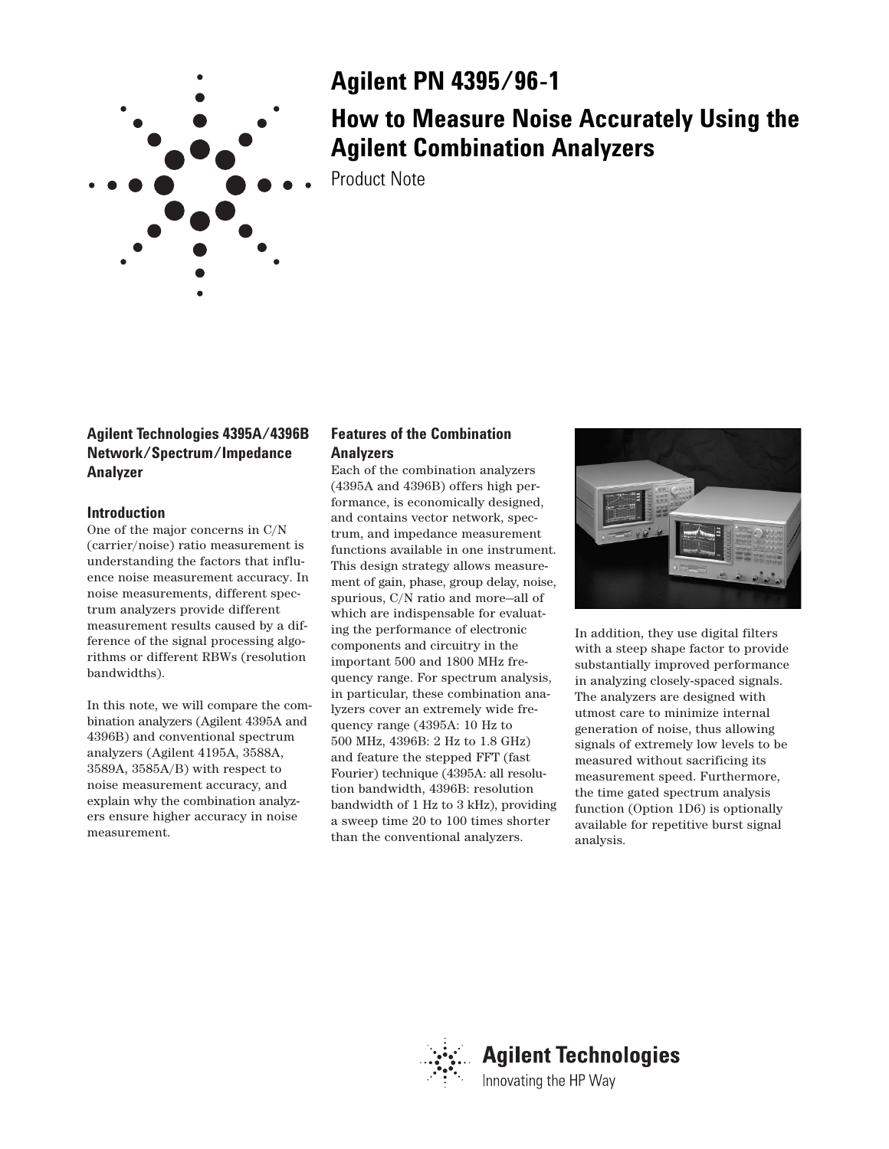

# **Agilent PN 4395/96-1**

# **How to Measure Noise Accurately Using the Agilent Combination Analyzers**

Product Note

# **Agilent Technologies 4395A/4396B Network/Spectrum/Impedance Analyzer**

# **Introduction**

One of the major concerns in C/N (carrier/noise) ratio measurement is understanding the factors that influence noise measurement accuracy. In noise measurements, different spectrum analyzers provide different measurement results caused by a difference of the signal processing algorithms or different RBWs (resolution bandwidths).

In this note, we will compare the combination analyzers (Agilent 4395A and 4396B) and conventional spectrum analyzers (Agilent 4195A, 3588A, 3589A, 3585A/B) with respect to noise measurement accuracy, and explain why the combination analyzers ensure higher accuracy in noise measurement.

# **Features of the Combination Analyzers**

Each of the combination analyzers (4395A and 4396B) offers high performance, is economically designed, and contains vector network, spectrum, and impedance measurement functions available in one instrument. This design strategy allows measurement of gain, phase, group delay, noise, spurious, C/N ratio and more—all of which are indispensable for evaluating the performance of electronic components and circuitry in the important 500 and 1800 MHz frequency range. For spectrum analysis, in particular, these combination analyzers cover an extremely wide frequency range (4395A: 10 Hz to 500 MHz, 4396B: 2 Hz to 1.8 GHz) and feature the stepped FFT (fast Fourier) technique (4395A: all resolution bandwidth, 4396B: resolution bandwidth of 1 Hz to 3 kHz), providing a sweep time 20 to 100 times shorter than the conventional analyzers.



In addition, they use digital filters with a steep shape factor to provide substantially improved performance in analyzing closely-spaced signals. The analyzers are designed with utmost care to minimize internal generation of noise, thus allowing signals of extremely low levels to be measured without sacrificing its measurement speed. Furthermore, the time gated spectrum analysis function (Option 1D6) is optionally available for repetitive burst signal analysis.

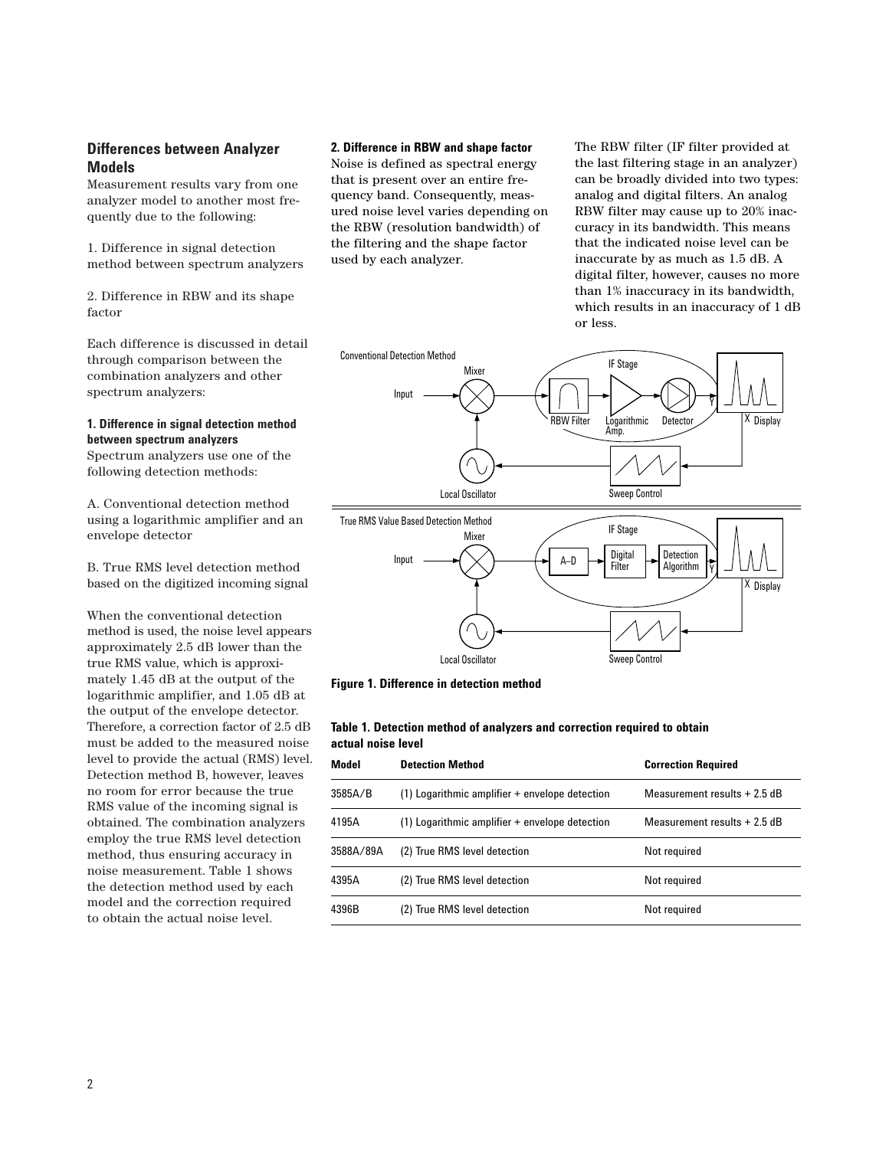# **Differences between Analyzer Models**

Measurement results vary from one analyzer model to another most frequently due to the following:

1. Difference in signal detection method between spectrum analyzers

2. Difference in RBW and its shape factor

Each difference is discussed in detail through comparison between the combination analyzers and other spectrum analyzers:

## **1. Difference in signal detection method between spectrum analyzers**

Spectrum analyzers use one of the following detection methods:

A. Conventional detection method using a logarithmic amplifier and an envelope detector

B. True RMS level detection method based on the digitized incoming signal

When the conventional detection method is used, the noise level appears approximately 2.5 dB lower than the true RMS value, which is approximately 1.45 dB at the output of the logarithmic amplifier, and 1.05 dB at the output of the envelope detector. Therefore, a correction factor of 2.5 dB must be added to the measured noise level to provide the actual (RMS) level. Detection method B, however, leaves no room for error because the true RMS value of the incoming signal is obtained. The combination analyzers employ the true RMS level detection method, thus ensuring accuracy in noise measurement. Table 1 shows the detection method used by each model and the correction required to obtain the actual noise level.

# **2. Difference in RBW and shape factor**

Noise is defined as spectral energy that is present over an entire frequency band. Consequently, measured noise level varies depending on the RBW (resolution bandwidth) of the filtering and the shape factor used by each analyzer.

The RBW filter (IF filter provided at the last filtering stage in an analyzer) can be broadly divided into two types: analog and digital filters. An analog RBW filter may cause up to 20% inaccuracy in its bandwidth. This means that the indicated noise level can be inaccurate by as much as 1.5 dB. A digital filter, however, causes no more than 1% inaccuracy in its bandwidth, which results in an inaccuracy of 1 dB or less.



**Figure 1. Difference in detection method**

## **Table 1. Detection method of analyzers and correction required to obtain actual noise level**

| Model     | <b>Detection Method</b>                            | <b>Correction Required</b><br>Measurement results $+2.5$ dB |  |  |  |
|-----------|----------------------------------------------------|-------------------------------------------------------------|--|--|--|
| 3585A/B   | $(1)$ Logarithmic amplifier $+$ envelope detection |                                                             |  |  |  |
| 4195A     | $(1)$ Logarithmic amplifier $+$ envelope detection | Measurement results $+2.5$ dB                               |  |  |  |
| 3588A/89A | (2) True RMS level detection                       | Not required                                                |  |  |  |
| 4395A     | (2) True RMS level detection                       | Not required                                                |  |  |  |
| 4396B     | (2) True RMS level detection                       | Not required                                                |  |  |  |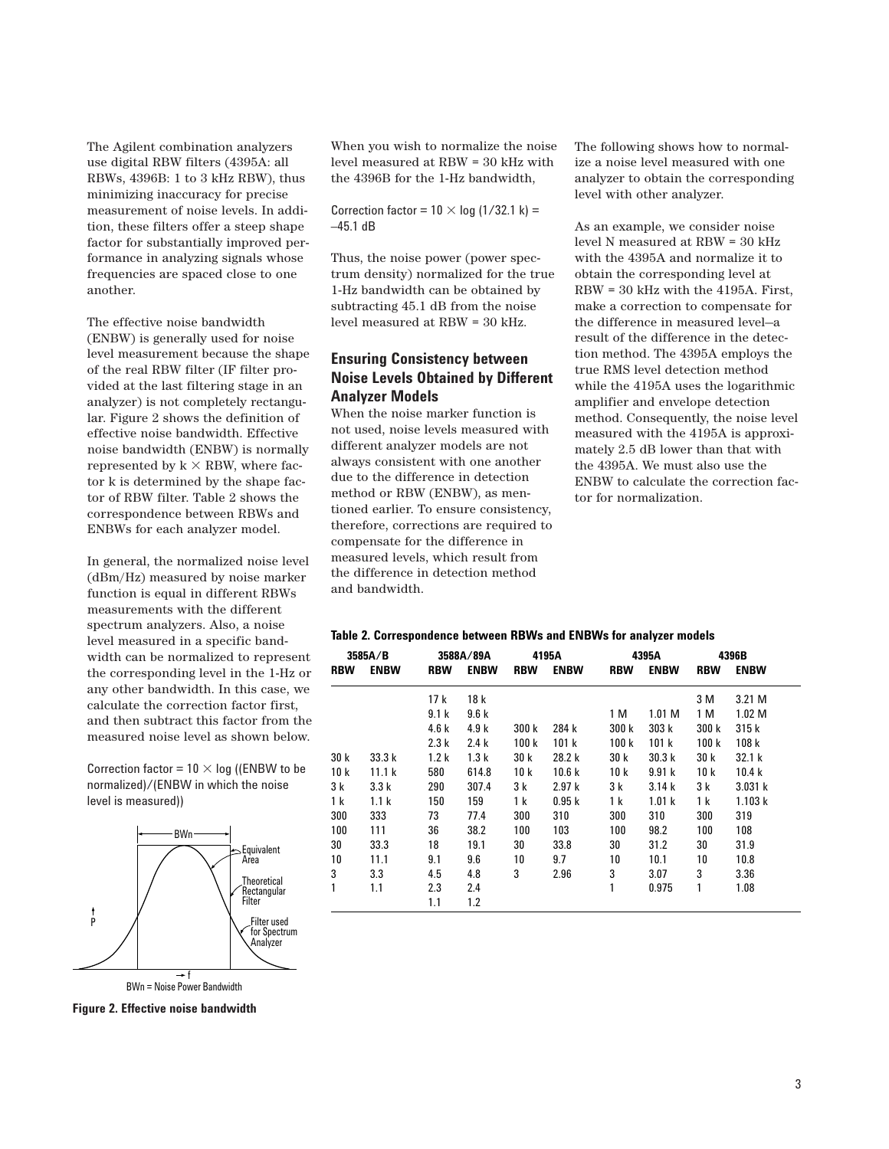The Agilent combination analyzers use digital RBW filters (4395A: all RBWs, 4396B: 1 to 3 kHz RBW), thus minimizing inaccuracy for precise measurement of noise levels. In addition, these filters offer a steep shape factor for substantially improved performance in analyzing signals whose frequencies are spaced close to one another.

The effective noise bandwidth (ENBW) is generally used for noise level measurement because the shape of the real RBW filter (IF filter provided at the last filtering stage in an analyzer) is not completely rectangular. Figure 2 shows the definition of effective noise bandwidth. Effective noise bandwidth (ENBW) is normally represented by  $k \times RBW$ , where factor k is determined by the shape factor of RBW filter. Table 2 shows the correspondence between RBWs and ENBWs for each analyzer model.

In general, the normalized noise level (dBm/Hz) measured by noise marker function is equal in different RBWs measurements with the different spectrum analyzers. Also, a noise level measured in a specific bandwidth can be normalized to represent the corresponding level in the 1-Hz or any other bandwidth. In this case, we calculate the correction factor first, and then subtract this factor from the measured noise level as shown below.

Correction factor =  $10 \times$  log ((ENBW to be normalized)/(ENBW in which the noise level is measured))



**Figure 2. Effective noise bandwidth**

When you wish to normalize the noise level measured at RBW = 30 kHz with the 4396B for the 1-Hz bandwidth,

Correction factor =  $10 \times$  log (1/32.1 k) =  $-45.1$  dB

Thus, the noise power (power spectrum density) normalized for the true 1-Hz bandwidth can be obtained by subtracting 45.1 dB from the noise level measured at RBW = 30 kHz.

# **Ensuring Consistency between Noise Levels Obtained by Different Analyzer Models**

When the noise marker function is not used, noise levels measured with different analyzer models are not always consistent with one another due to the difference in detection method or RBW (ENBW), as mentioned earlier. To ensure consistency, therefore, corrections are required to compensate for the difference in measured levels, which result from the difference in detection method and bandwidth.

The following shows how to normalize a noise level measured with one analyzer to obtain the corresponding level with other analyzer.

As an example, we consider noise level N measured at RBW = 30 kHz with the 4395A and normalize it to obtain the corresponding level at RBW = 30 kHz with the 4195A. First, make a correction to compensate for the difference in measured level—a result of the difference in the detection method. The 4395A employs the true RMS level detection method while the 4195A uses the logarithmic amplifier and envelope detection method. Consequently, the noise level measured with the 4195A is approximately 2.5 dB lower than that with the 4395A. We must also use the ENBW to calculate the correction factor for normalization.

#### **Table 2. Correspondence between RBWs and ENBWs for analyzer models**

|            | 3585A/B          |                  | 3588A/89A   |            | 4195A       |            | 4395A             |            | 4396B             |  |
|------------|------------------|------------------|-------------|------------|-------------|------------|-------------------|------------|-------------------|--|
| <b>RBW</b> | <b>ENBW</b>      | <b>RBW</b>       | <b>ENBW</b> | <b>RBW</b> | <b>ENBW</b> | <b>RBW</b> | <b>ENBW</b>       | <b>RBW</b> | <b>ENBW</b>       |  |
|            |                  | 17 k             | 18 k        |            |             |            |                   | 3 M        | 3.21 M            |  |
|            |                  | 9.1 <sub>k</sub> | 9.6k        |            |             | 1 M        | 1.01 <sub>M</sub> | 1 M        | 1.02 <sub>M</sub> |  |
|            |                  | 4.6k             | 4.9k        | 300 k      | 284 k       | 300 k      | 303k              | 300 k      | 315k              |  |
|            |                  | 2.3k             | 2.4k        | 100k       | 101 k       | 100k       | 101k              | 100k       | 108k              |  |
| 30 k       | 33.3k            | 1.2 <sub>k</sub> | 1.3k        | 30 k       | 28.2 k      | 30 k       | 30.3k             | 30k        | 32.1 k            |  |
| 10 k       | 11.1k            | 580              | 614.8       | 10 k       | 10.6k       | 10k        | 9.91k             | 10k        | 10.4k             |  |
| 3 k        | 3.3k             | 290              | 307.4       | 3 k        | 2.97k       | 3 k        | 3.14 k            | 3 k        | 3.031 k           |  |
| 1 k        | 1.1 <sub>k</sub> | 150              | 159         | 1 k        | 0.95k       | 1 k        | 1.01k             | 1 k        | 1.103k            |  |
| 300        | 333              | 73               | 77.4        | 300        | 310         | 300        | 310               | 300        | 319               |  |
| 100        | 111              | 36               | 38.2        | 100        | 103         | 100        | 98.2              | 100        | 108               |  |
| 30         | 33.3             | 18               | 19.1        | 30         | 33.8        | 30         | 31.2              | 30         | 31.9              |  |
| 10         | 11.1             | 9.1              | 9.6         | 10         | 9.7         | 10         | 10.1              | 10         | 10.8              |  |
| 3          | 3.3              | 4.5              | 4.8         | 3          | 2.96        | 3          | 3.07              | 3          | 3.36              |  |
| 1          | 1.1              | 2.3              | 2.4         |            |             | 1          | 0.975             | 1          | 1.08              |  |
|            |                  | 1.1              | 1.2         |            |             |            |                   |            |                   |  |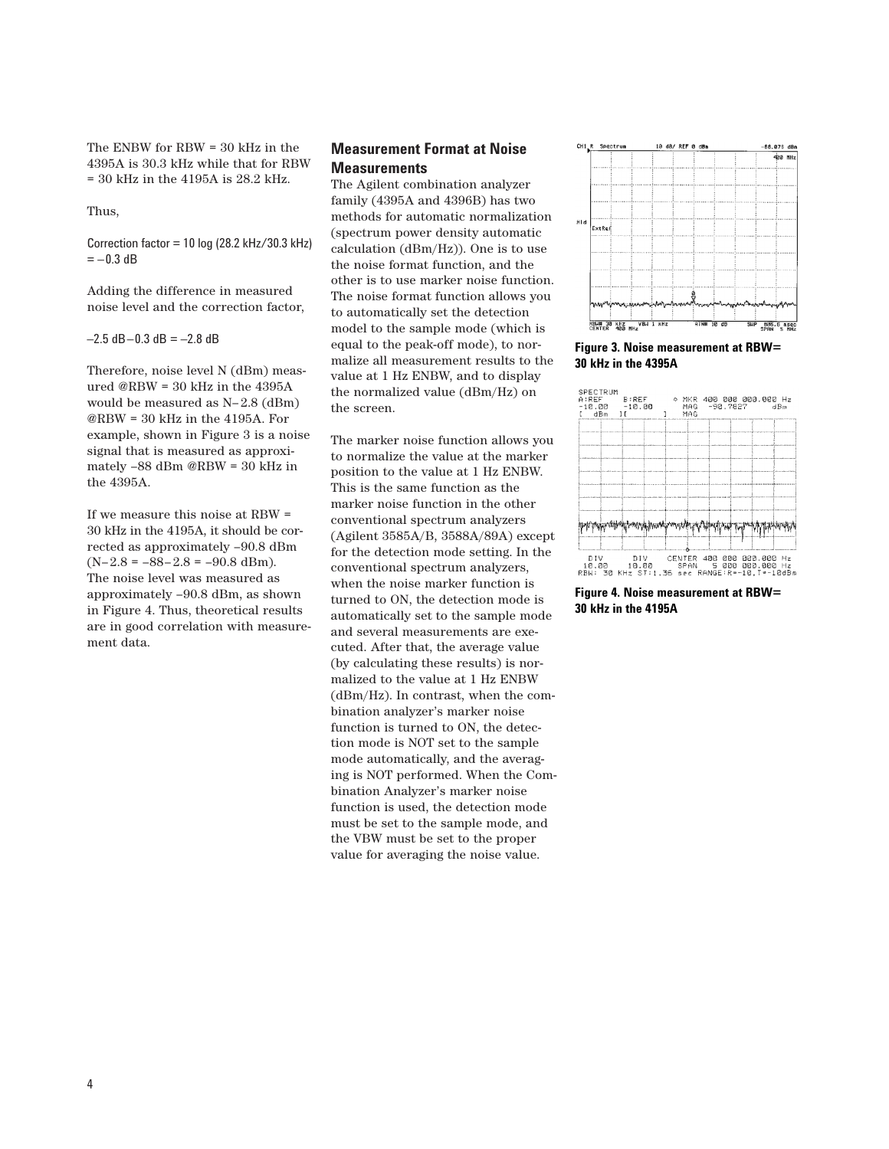The ENBW for RBW = 30 kHz in the 4395A is 30.3 kHz while that for RBW  $= 30$  kHz in the 4195A is 28.2 kHz.

Thus,

Correction factor =  $10 \log (28.2 \text{ kHz}/30.3 \text{ kHz})$  $=-0.3$  dB

Adding the difference in measured noise level and the correction factor,

 $-2.5$  dB $-0.3$  dB =  $-2.8$  dB

Therefore, noise level N (dBm) measured @RBW = 30 kHz in the 4395A would be measured as N–2.8 (dBm) @RBW = 30 kHz in the 4195A. For example, shown in Figure 3 is a noise signal that is measured as approximately –88 dBm @RBW = 30 kHz in the 4395A.

If we measure this noise at RBW = 30 kHz in the 4195A, it should be corrected as approximately –90.8 dBm  $(N-2.8 = -88-2.8 = -90.8$  dBm). The noise level was measured as approximately –90.8 dBm, as shown in Figure 4. Thus, theoretical results are in good correlation with measurement data.

# **Measurement Format at Noise Measurements**

The Agilent combination analyzer family (4395A and 4396B) has two methods for automatic normalization (spectrum power density automatic calculation (dBm/Hz)). One is to use the noise format function, and the other is to use marker noise function. The noise format function allows you to automatically set the detection model to the sample mode (which is equal to the peak-off mode), to normalize all measurement results to the value at 1 Hz ENBW, and to display the normalized value (dBm/Hz) on the screen.

The marker noise function allows you to normalize the value at the marker position to the value at 1 Hz ENBW. This is the same function as the marker noise function in the other conventional spectrum analyzers (Agilent 3585A/B, 3588A/89A) except for the detection mode setting. In the conventional spectrum analyzers, when the noise marker function is turned to ON, the detection mode is automatically set to the sample mode and several measurements are executed. After that, the average value (by calculating these results) is normalized to the value at 1 Hz ENBW (dBm/Hz). In contrast, when the combination analyzer's marker noise function is turned to ON, the detection mode is NOT set to the sample mode automatically, and the averaging is NOT performed. When the Combination Analyzer's marker noise function is used, the detection mode must be set to the sample mode, and the VBW must be set to the proper value for averaging the noise value.



**Figure 3. Noise measurement at RBW= 30 kHz in the 4395A**



**Figure 4. Noise measurement at RBW= 30 kHz in the 4195A**